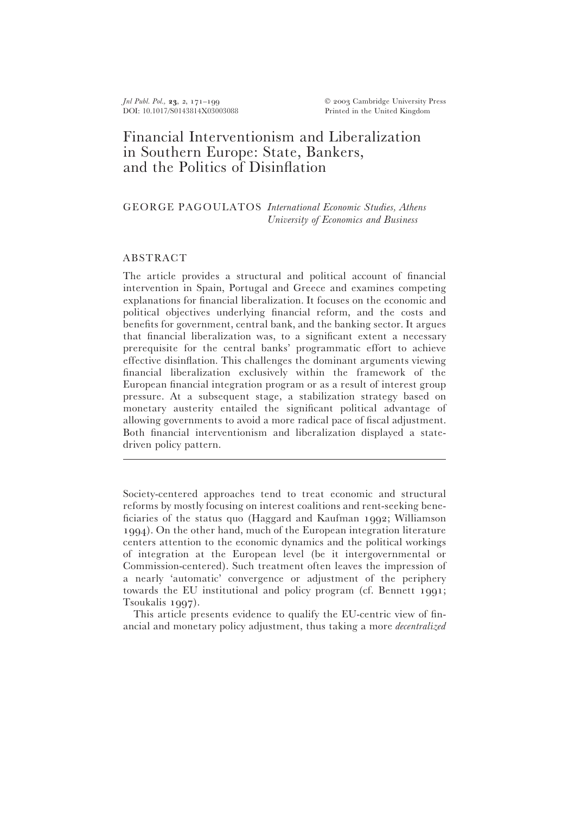# Financial Interventionism and Liberalization in Southern Europe: State, Bankers, and the Politics of Disinflation

# GEORGE PAGOULATOS *International Economic Studies, Athens University of Economics and Business*

# ABSTRACT

The article provides a structural and political account of financial intervention in Spain, Portugal and Greece and examines competing explanations for financial liberalization. It focuses on the economic and political objectives underlying financial reform, and the costs and benefits for government, central bank, and the banking sector. It argues that financial liberalization was, to a significant extent a necessary prerequisite for the central banks' programmatic effort to achieve effective disinflation. This challenges the dominant arguments viewing financial liberalization exclusively within the framework of the European financial integration program or as a result of interest group pressure. At a subsequent stage, a stabilization strategy based on monetary austerity entailed the significant political advantage of allowing governments to avoid a more radical pace of fiscal adjustment. Both financial interventionism and liberalization displayed a statedriven policy pattern.

Society-centered approaches tend to treat economic and structural reforms by mostly focusing on interest coalitions and rent-seeking beneficiaries of the status quo (Haggard and Kaufman 1992; Williamson 1994). On the other hand, much of the European integration literature centers attention to the economic dynamics and the political workings of integration at the European level (be it intergovernmental or Commission-centered). Such treatment often leaves the impression of a nearly 'automatic' convergence or adjustment of the periphery towards the EU institutional and policy program (cf. Bennett 1991; Tsoukalis 1997).

This article presents evidence to qualify the EU-centric view of financial and monetary policy adjustment, thus taking a more *decentralized*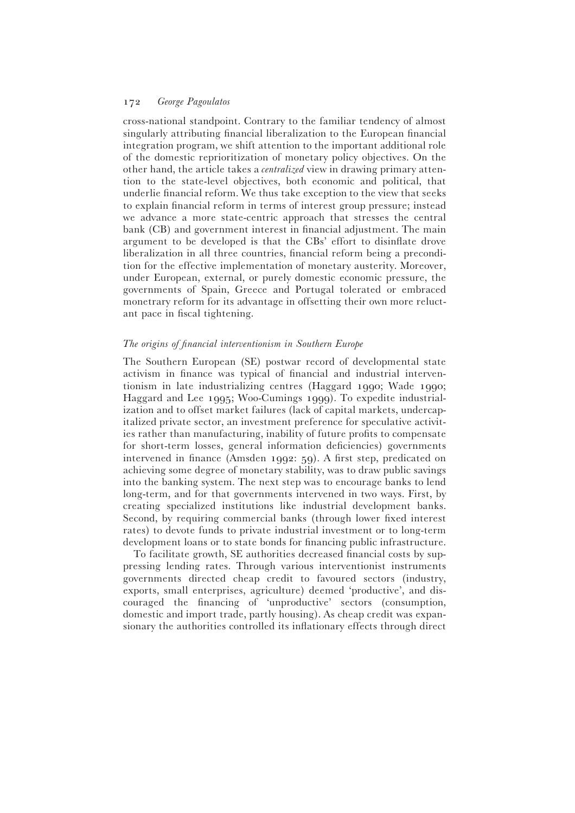cross-national standpoint. Contrary to the familiar tendency of almost singularly attributing financial liberalization to the European financial integration program, we shift attention to the important additional role of the domestic reprioritization of monetary policy objectives. On the other hand, the article takes a *centralized* view in drawing primary attention to the state-level objectives, both economic and political, that underlie financial reform. We thus take exception to the view that seeks to explain financial reform in terms of interest group pressure; instead we advance a more state-centric approach that stresses the central bank (CB) and government interest in financial adjustment. The main argument to be developed is that the CBs' effort to disinflate drove liberalization in all three countries, financial reform being a precondition for the effective implementation of monetary austerity. Moreover, under European, external, or purely domestic economic pressure, the governments of Spain, Greece and Portugal tolerated or embraced monetrary reform for its advantage in offsetting their own more reluctant pace in fiscal tightening.

### *The origins of financial interventionism in Southern Europe*

The Southern European (SE) postwar record of developmental state activism in finance was typical of financial and industrial interventionism in late industrializing centres (Haggard 1990; Wade 1990; Haggard and Lee 1995; Woo-Cumings 1999). To expedite industrialization and to offset market failures (lack of capital markets, undercapitalized private sector, an investment preference for speculative activities rather than manufacturing, inability of future profits to compensate for short-term losses, general information deficiencies) governments intervened in finance (Amsden 1992: 59). A first step, predicated on achieving some degree of monetary stability, was to draw public savings into the banking system. The next step was to encourage banks to lend long-term, and for that governments intervened in two ways. First, by creating specialized institutions like industrial development banks. Second, by requiring commercial banks (through lower fixed interest rates) to devote funds to private industrial investment or to long-term development loans or to state bonds for financing public infrastructure.

To facilitate growth, SE authorities decreased financial costs by suppressing lending rates. Through various interventionist instruments governments directed cheap credit to favoured sectors (industry, exports, small enterprises, agriculture) deemed 'productive', and discouraged the financing of 'unproductive' sectors (consumption, domestic and import trade, partly housing). As cheap credit was expansionary the authorities controlled its inflationary effects through direct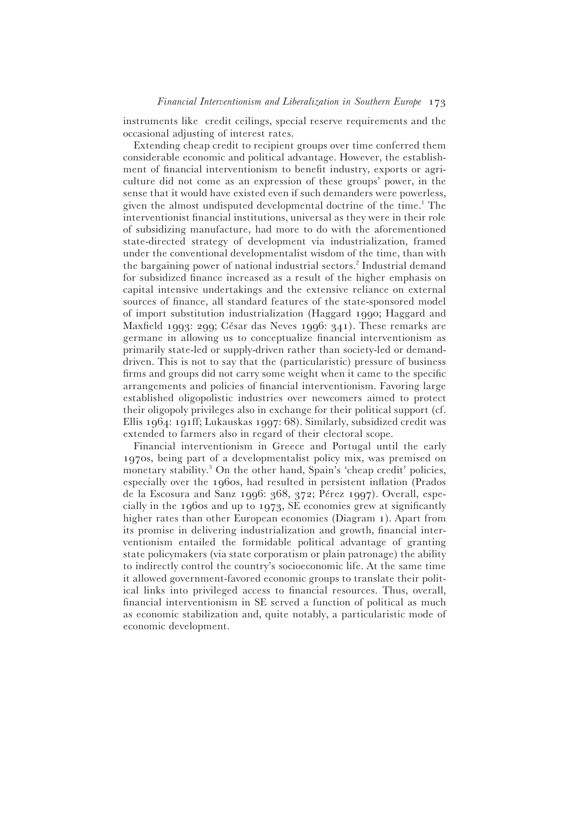instruments like credit ceilings, special reserve requirements and the occasional adjusting of interest rates.

Extending cheap credit to recipient groups over time conferred them considerable economic and political advantage. However, the establishment of financial interventionism to benefit industry, exports or agriculture did not come as an expression of these groups' power, in the sense that it would have existed even if such demanders were powerless, given the almost undisputed developmental doctrine of the time.<sup>1</sup> The interventionist financial institutions, universal as they were in their role of subsidizing manufacture, had more to do with the aforementioned state-directed strategy of development via industrialization, framed under the conventional developmentalist wisdom of the time, than with the bargaining power of national industrial sectors.2 Industrial demand for subsidized finance increased as a result of the higher emphasis on capital intensive undertakings and the extensive reliance on external sources of finance, all standard features of the state-sponsored model of import substitution industrialization (Haggard 1990; Haggard and Maxfield 1993: 299; César das Neves 1996: 341). These remarks are germane in allowing us to conceptualize financial interventionism as primarily state-led or supply-driven rather than society-led or demanddriven. This is not to say that the (particularistic) pressure of business firms and groups did not carry some weight when it came to the specific arrangements and policies of financial interventionism. Favoring large established oligopolistic industries over newcomers aimed to protect their oligopoly privileges also in exchange for their political support (cf. Ellis 1964: 191ff; Lukauskas 1997: 68). Similarly, subsidized credit was extended to farmers also in regard of their electoral scope.

Financial interventionism in Greece and Portugal until the early 1970s, being part of a developmentalist policy mix, was premised on monetary stability.<sup>3</sup> On the other hand, Spain's 'cheap credit' policies, especially over the 1960s, had resulted in persistent inflation (Prados de la Escosura and Sanz 1996: 368, 372; Pérez 1997). Overall, especially in the 1960s and up to 1973, SE economies grew at significantly higher rates than other European economies (Diagram 1). Apart from its promise in delivering industrialization and growth, financial interventionism entailed the formidable political advantage of granting state policymakers (via state corporatism or plain patronage) the ability to indirectly control the country's socioeconomic life. At the same time it allowed government-favored economic groups to translate their political links into privileged access to financial resources. Thus, overall, financial interventionism in SE served a function of political as much as economic stabilization and, quite notably, a particularistic mode of economic development.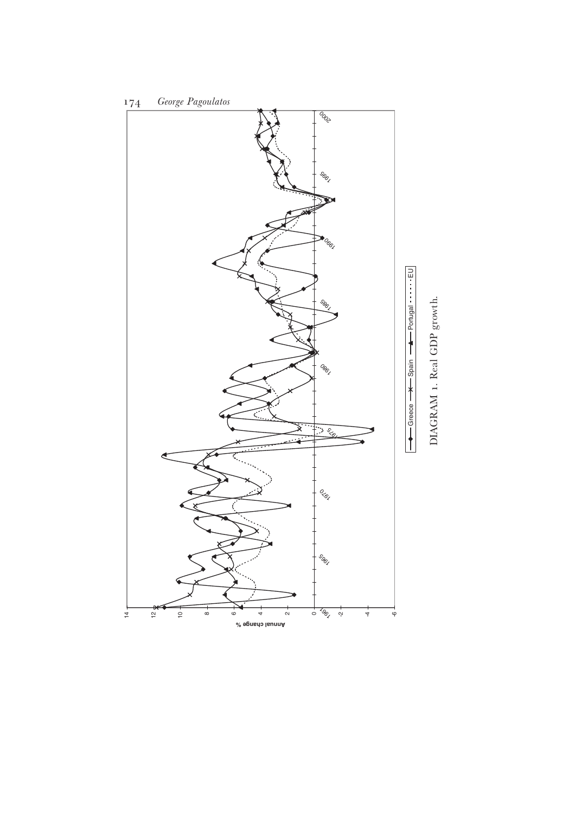

DIAGRAM 1. Real GDP growth.

DIAGRAM 1. Real GDP growth.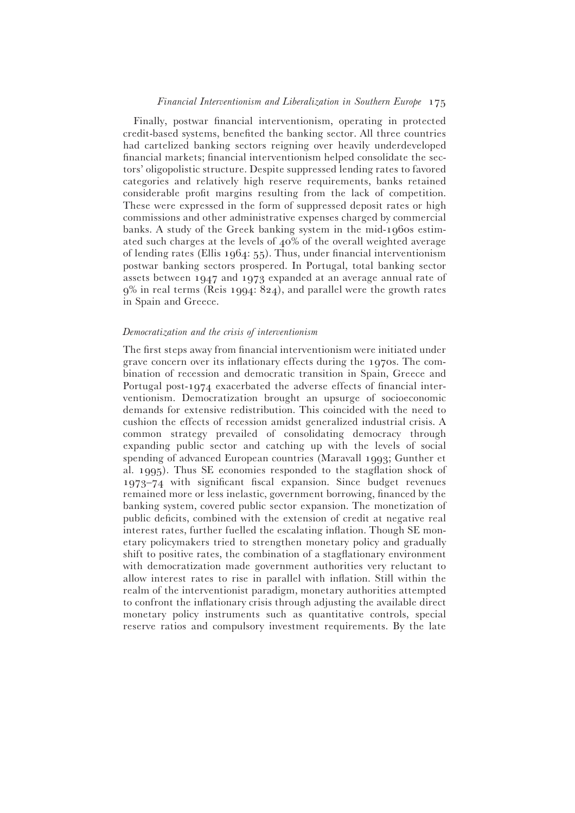Finally, postwar financial interventionism, operating in protected credit-based systems, benefited the banking sector. All three countries had cartelized banking sectors reigning over heavily underdeveloped financial markets; financial interventionism helped consolidate the sectors' oligopolistic structure. Despite suppressed lending rates to favored categories and relatively high reserve requirements, banks retained considerable profit margins resulting from the lack of competition. These were expressed in the form of suppressed deposit rates or high commissions and other administrative expenses charged by commercial banks. A study of the Greek banking system in the mid-1960s estimated such charges at the levels of 40% of the overall weighted average of lending rates (Ellis 1964: 55). Thus, under financial interventionism postwar banking sectors prospered. In Portugal, total banking sector assets between 1947 and 1973 expanded at an average annual rate of 9% in real terms (Reis 1994: 824), and parallel were the growth rates in Spain and Greece.

### *Democratization and the crisis of interventionism*

The first steps away from financial interventionism were initiated under grave concern over its inflationary effects during the 1970s. The combination of recession and democratic transition in Spain, Greece and Portugal post-1974 exacerbated the adverse effects of financial interventionism. Democratization brought an upsurge of socioeconomic demands for extensive redistribution. This coincided with the need to cushion the effects of recession amidst generalized industrial crisis. A common strategy prevailed of consolidating democracy through expanding public sector and catching up with the levels of social spending of advanced European countries (Maravall 1993; Gunther et al. 1995). Thus SE economies responded to the stagflation shock of 1973–74 with significant fiscal expansion. Since budget revenues remained more or less inelastic, government borrowing, financed by the banking system, covered public sector expansion. The monetization of public deficits, combined with the extension of credit at negative real interest rates, further fuelled the escalating inflation. Though SE monetary policymakers tried to strengthen monetary policy and gradually shift to positive rates, the combination of a stagflationary environment with democratization made government authorities very reluctant to allow interest rates to rise in parallel with inflation. Still within the realm of the interventionist paradigm, monetary authorities attempted to confront the inflationary crisis through adjusting the available direct monetary policy instruments such as quantitative controls, special reserve ratios and compulsory investment requirements. By the late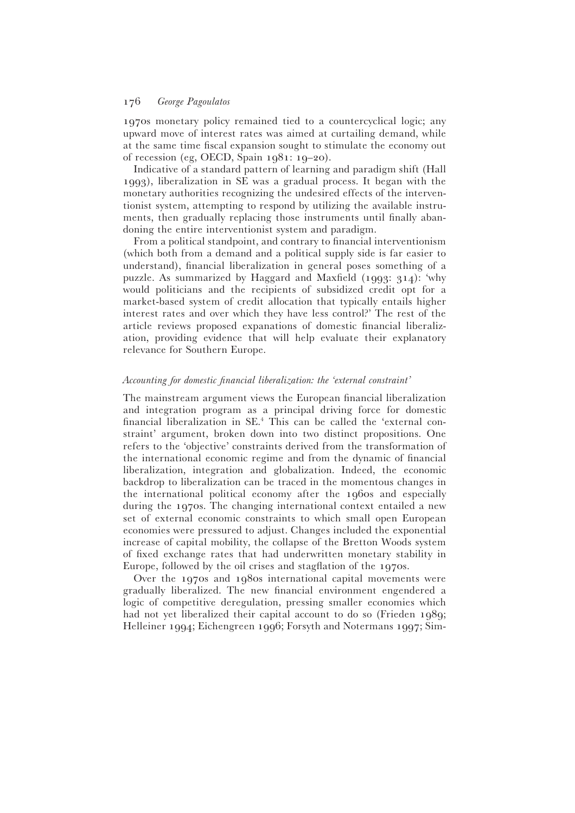1970s monetary policy remained tied to a countercyclical logic; any upward move of interest rates was aimed at curtailing demand, while at the same time fiscal expansion sought to stimulate the economy out of recession (eg, OECD, Spain 1981: 19–20).

Indicative of a standard pattern of learning and paradigm shift (Hall 1993), liberalization in SE was a gradual process. It began with the monetary authorities recognizing the undesired effects of the interventionist system, attempting to respond by utilizing the available instruments, then gradually replacing those instruments until finally abandoning the entire interventionist system and paradigm.

From a political standpoint, and contrary to financial interventionism (which both from a demand and a political supply side is far easier to understand), financial liberalization in general poses something of a puzzle. As summarized by Haggard and Maxfield (1993: 314): 'why would politicians and the recipients of subsidized credit opt for a market-based system of credit allocation that typically entails higher interest rates and over which they have less control?' The rest of the article reviews proposed expanations of domestic financial liberalization, providing evidence that will help evaluate their explanatory relevance for Southern Europe.

### *Accounting for domestic financial liberalization: the 'external constraint'*

The mainstream argument views the European financial liberalization and integration program as a principal driving force for domestic financial liberalization in SE.4 This can be called the 'external constraint' argument, broken down into two distinct propositions. One refers to the 'objective' constraints derived from the transformation of the international economic regime and from the dynamic of financial liberalization, integration and globalization. Indeed, the economic backdrop to liberalization can be traced in the momentous changes in the international political economy after the 1960s and especially during the 1970s. The changing international context entailed a new set of external economic constraints to which small open European economies were pressured to adjust. Changes included the exponential increase of capital mobility, the collapse of the Bretton Woods system of fixed exchange rates that had underwritten monetary stability in Europe, followed by the oil crises and stagflation of the 1970s.

Over the 1970s and 1980s international capital movements were gradually liberalized. The new financial environment engendered a logic of competitive deregulation, pressing smaller economies which had not yet liberalized their capital account to do so (Frieden 1989; Helleiner 1994; Eichengreen 1996; Forsyth and Notermans 1997; Sim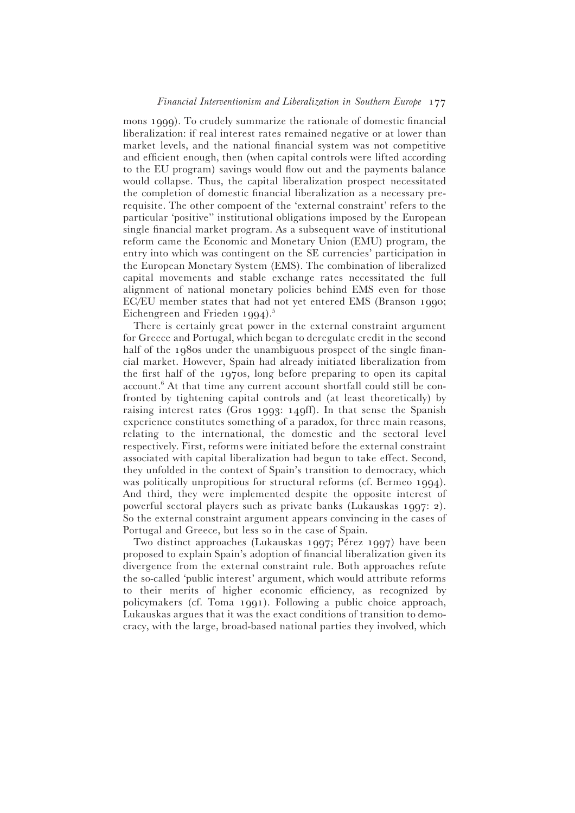mons 1999). To crudely summarize the rationale of domestic financial liberalization: if real interest rates remained negative or at lower than market levels, and the national financial system was not competitive and efficient enough, then (when capital controls were lifted according to the EU program) savings would flow out and the payments balance would collapse. Thus, the capital liberalization prospect necessitated the completion of domestic financial liberalization as a necessary prerequisite. The other compoent of the 'external constraint' refers to the particular 'positive'' institutional obligations imposed by the European single financial market program. As a subsequent wave of institutional reform came the Economic and Monetary Union (EMU) program, the entry into which was contingent on the SE currencies' participation in the European Monetary System (EMS). The combination of liberalized capital movements and stable exchange rates necessitated the full alignment of national monetary policies behind EMS even for those EC/EU member states that had not yet entered EMS (Branson 1990; Eichengreen and Frieden  $1994$ .<sup>5</sup>

There is certainly great power in the external constraint argument for Greece and Portugal, which began to deregulate credit in the second half of the 1980s under the unambiguous prospect of the single financial market. However, Spain had already initiated liberalization from the first half of the 1970s, long before preparing to open its capital account.<sup>6</sup> At that time any current account shortfall could still be confronted by tightening capital controls and (at least theoretically) by raising interest rates (Gros 1993: 149ff). In that sense the Spanish experience constitutes something of a paradox, for three main reasons, relating to the international, the domestic and the sectoral level respectively. First, reforms were initiated before the external constraint associated with capital liberalization had begun to take effect. Second, they unfolded in the context of Spain's transition to democracy, which was politically unpropitious for structural reforms (cf. Bermeo 1994). And third, they were implemented despite the opposite interest of powerful sectoral players such as private banks (Lukauskas 1997: 2). So the external constraint argument appears convincing in the cases of Portugal and Greece, but less so in the case of Spain.

Two distinct approaches (Lukauskas 1997; Pérez 1997) have been proposed to explain Spain's adoption of financial liberalization given its divergence from the external constraint rule. Both approaches refute the so-called 'public interest' argument, which would attribute reforms to their merits of higher economic efficiency, as recognized by policymakers (cf. Toma 1991). Following a public choice approach, Lukauskas argues that it was the exact conditions of transition to democracy, with the large, broad-based national parties they involved, which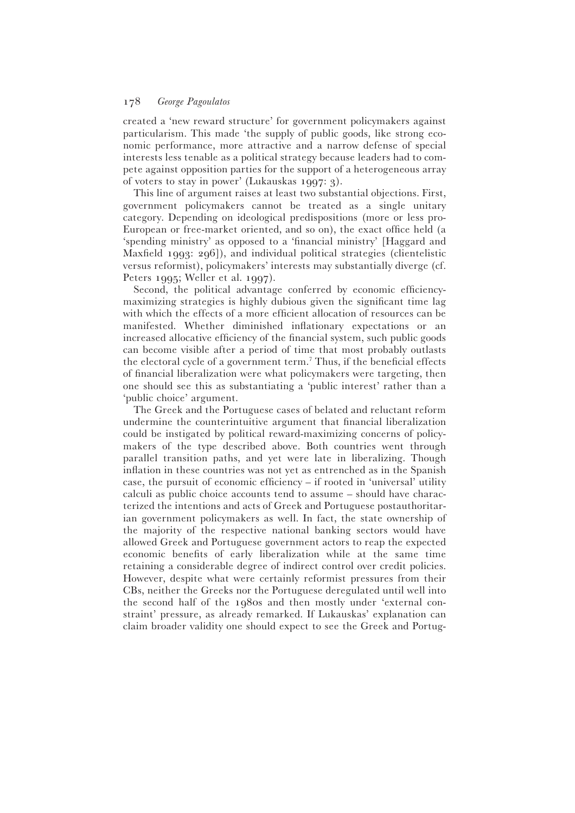created a 'new reward structure' for government policymakers against particularism. This made 'the supply of public goods, like strong economic performance, more attractive and a narrow defense of special interests less tenable as a political strategy because leaders had to compete against opposition parties for the support of a heterogeneous array of voters to stay in power' (Lukauskas 1997: 3).

This line of argument raises at least two substantial objections. First, government policymakers cannot be treated as a single unitary category. Depending on ideological predispositions (more or less pro-European or free-market oriented, and so on), the exact office held (a 'spending ministry' as opposed to a 'financial ministry' [Haggard and Maxfield 1993: 296]), and individual political strategies (clientelistic versus reformist), policymakers' interests may substantially diverge (cf. Peters 1995; Weller et al. 1997).

Second, the political advantage conferred by economic efficiencymaximizing strategies is highly dubious given the significant time lag with which the effects of a more efficient allocation of resources can be manifested. Whether diminished inflationary expectations or an increased allocative efficiency of the financial system, such public goods can become visible after a period of time that most probably outlasts the electoral cycle of a government term.7 Thus, if the beneficial effects of financial liberalization were what policymakers were targeting, then one should see this as substantiating a 'public interest' rather than a 'public choice' argument.

The Greek and the Portuguese cases of belated and reluctant reform undermine the counterintuitive argument that financial liberalization could be instigated by political reward-maximizing concerns of policymakers of the type described above. Both countries went through parallel transition paths, and yet were late in liberalizing. Though inflation in these countries was not yet as entrenched as in the Spanish case, the pursuit of economic efficiency – if rooted in 'universal' utility calculi as public choice accounts tend to assume – should have characterized the intentions and acts of Greek and Portuguese postauthoritarian government policymakers as well. In fact, the state ownership of the majority of the respective national banking sectors would have allowed Greek and Portuguese government actors to reap the expected economic benefits of early liberalization while at the same time retaining a considerable degree of indirect control over credit policies. However, despite what were certainly reformist pressures from their CBs, neither the Greeks nor the Portuguese deregulated until well into the second half of the 1980s and then mostly under 'external constraint' pressure, as already remarked. If Lukauskas' explanation can claim broader validity one should expect to see the Greek and Portug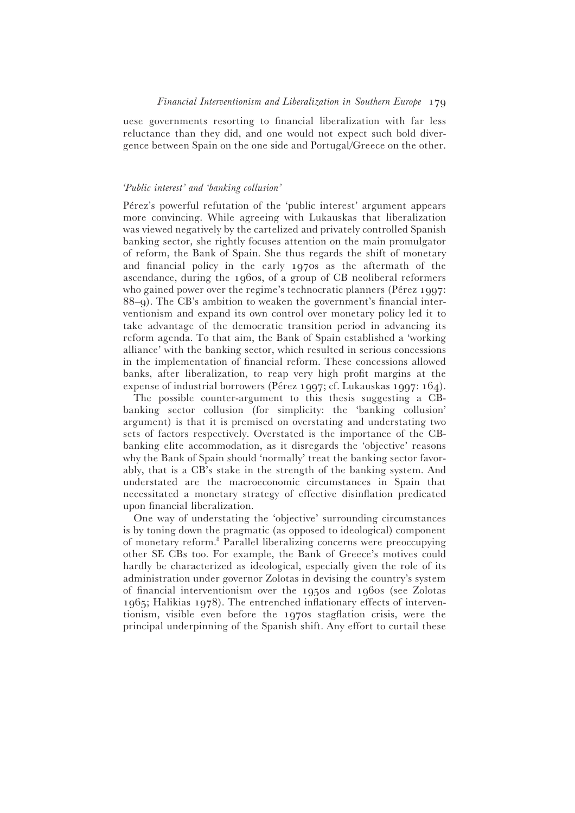uese governments resorting to financial liberalization with far less reluctance than they did, and one would not expect such bold divergence between Spain on the one side and Portugal/Greece on the other.

## *'Public interest' and 'banking collusion'*

Pérez's powerful refutation of the 'public interest' argument appears more convincing. While agreeing with Lukauskas that liberalization was viewed negatively by the cartelized and privately controlled Spanish banking sector, she rightly focuses attention on the main promulgator of reform, the Bank of Spain. She thus regards the shift of monetary and financial policy in the early 1970s as the aftermath of the ascendance, during the 1960s, of a group of CB neoliberal reformers who gained power over the regime's technocratic planners (Pérez 1997: 88–9). The CB's ambition to weaken the government's financial interventionism and expand its own control over monetary policy led it to take advantage of the democratic transition period in advancing its reform agenda. To that aim, the Bank of Spain established a 'working alliance' with the banking sector, which resulted in serious concessions in the implementation of financial reform. These concessions allowed banks, after liberalization, to reap very high profit margins at the expense of industrial borrowers (Pérez 1997; cf. Lukauskas 1997: 164).

The possible counter-argument to this thesis suggesting a CBbanking sector collusion (for simplicity: the 'banking collusion' argument) is that it is premised on overstating and understating two sets of factors respectively. Overstated is the importance of the CBbanking elite accommodation, as it disregards the 'objective' reasons why the Bank of Spain should 'normally' treat the banking sector favorably, that is a CB's stake in the strength of the banking system. And understated are the macroeconomic circumstances in Spain that necessitated a monetary strategy of effective disinflation predicated upon financial liberalization.

One way of understating the 'objective' surrounding circumstances is by toning down the pragmatic (as opposed to ideological) component of monetary reform.8 Parallel liberalizing concerns were preoccupying other SE CBs too. For example, the Bank of Greece's motives could hardly be characterized as ideological, especially given the role of its administration under governor Zolotas in devising the country's system of financial interventionism over the 1950s and 1960s (see Zolotas 1965; Halikias 1978). The entrenched inflationary effects of interventionism, visible even before the 1970s stagflation crisis, were the principal underpinning of the Spanish shift. Any effort to curtail these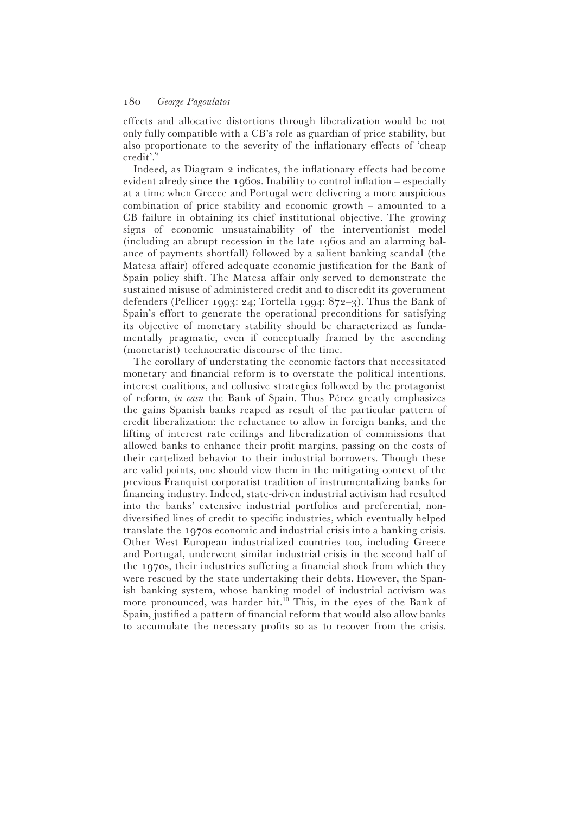effects and allocative distortions through liberalization would be not only fully compatible with a CB's role as guardian of price stability, but also proportionate to the severity of the inflationary effects of 'cheap credit'.9

Indeed, as Diagram 2 indicates, the inflationary effects had become evident alredy since the 1960s. Inability to control inflation – especially at a time when Greece and Portugal were delivering a more auspicious combination of price stability and economic growth – amounted to a CB failure in obtaining its chief institutional objective. The growing signs of economic unsustainability of the interventionist model (including an abrupt recession in the late 1960s and an alarming balance of payments shortfall) followed by a salient banking scandal (the Matesa affair) offered adequate economic justification for the Bank of Spain policy shift. The Matesa affair only served to demonstrate the sustained misuse of administered credit and to discredit its government defenders (Pellicer 1993: 24; Tortella 1994: 872–3). Thus the Bank of Spain's effort to generate the operational preconditions for satisfying its objective of monetary stability should be characterized as fundamentally pragmatic, even if conceptually framed by the ascending (monetarist) technocratic discourse of the time.

The corollary of understating the economic factors that necessitated monetary and financial reform is to overstate the political intentions, interest coalitions, and collusive strategies followed by the protagonist of reform, *in casu* the Bank of Spain. Thus Pérez greatly emphasizes the gains Spanish banks reaped as result of the particular pattern of credit liberalization: the reluctance to allow in foreign banks, and the lifting of interest rate ceilings and liberalization of commissions that allowed banks to enhance their profit margins, passing on the costs of their cartelized behavior to their industrial borrowers. Though these are valid points, one should view them in the mitigating context of the previous Franquist corporatist tradition of instrumentalizing banks for financing industry. Indeed, state-driven industrial activism had resulted into the banks' extensive industrial portfolios and preferential, nondiversified lines of credit to specific industries, which eventually helped translate the 1970s economic and industrial crisis into a banking crisis. Other West European industrialized countries too, including Greece and Portugal, underwent similar industrial crisis in the second half of the 1970s, their industries suffering a financial shock from which they were rescued by the state undertaking their debts. However, the Spanish banking system, whose banking model of industrial activism was more pronounced, was harder hit.<sup>10</sup> This, in the eyes of the Bank of Spain, justified a pattern of financial reform that would also allow banks to accumulate the necessary profits so as to recover from the crisis.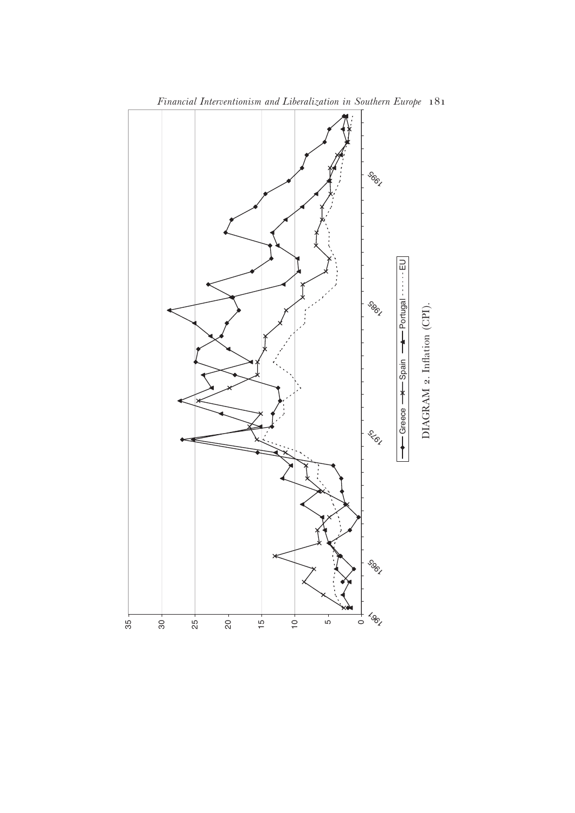

*Financial Interventionism and Liberalization in Southern Europe* 181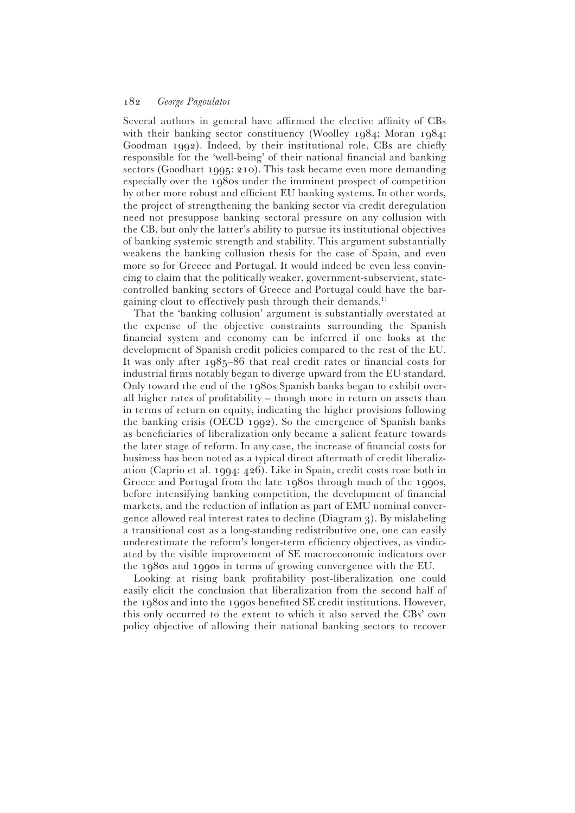Several authors in general have affirmed the elective affinity of CBs with their banking sector constituency (Woolley 1984; Moran 1984; Goodman 1992). Indeed, by their institutional role, CBs are chiefly responsible for the 'well-being' of their national financial and banking sectors (Goodhart 1995: 210). This task became even more demanding especially over the 1980s under the imminent prospect of competition by other more robust and efficient EU banking systems. In other words, the project of strengthening the banking sector via credit deregulation need not presuppose banking sectoral pressure on any collusion with the CB, but only the latter's ability to pursue its institutional objectives of banking systemic strength and stability. This argument substantially weakens the banking collusion thesis for the case of Spain, and even more so for Greece and Portugal. It would indeed be even less convincing to claim that the politically weaker, government-subservient, statecontrolled banking sectors of Greece and Portugal could have the bargaining clout to effectively push through their demands.<sup>11</sup>

That the 'banking collusion' argument is substantially overstated at the expense of the objective constraints surrounding the Spanish financial system and economy can be inferred if one looks at the development of Spanish credit policies compared to the rest of the EU. It was only after 1985–86 that real credit rates or financial costs for industrial firms notably began to diverge upward from the EU standard. Only toward the end of the 1980s Spanish banks began to exhibit overall higher rates of profitability – though more in return on assets than in terms of return on equity, indicating the higher provisions following the banking crisis (OECD 1992). So the emergence of Spanish banks as beneficiaries of liberalization only became a salient feature towards the later stage of reform. In any case, the increase of financial costs for business has been noted as a typical direct aftermath of credit liberalization (Caprio et al. 1994: 426). Like in Spain, credit costs rose both in Greece and Portugal from the late 1980s through much of the 1990s, before intensifying banking competition, the development of financial markets, and the reduction of inflation as part of EMU nominal convergence allowed real interest rates to decline (Diagram 3). By mislabeling a transitional cost as a long-standing redistributive one, one can easily underestimate the reform's longer-term efficiency objectives, as vindicated by the visible improvement of SE macroeconomic indicators over the 1980s and 1990s in terms of growing convergence with the EU.

Looking at rising bank profitability post-liberalization one could easily elicit the conclusion that liberalization from the second half of the 1980s and into the 1990s benefited SE credit institutions. However, this only occurred to the extent to which it also served the CBs' own policy objective of allowing their national banking sectors to recover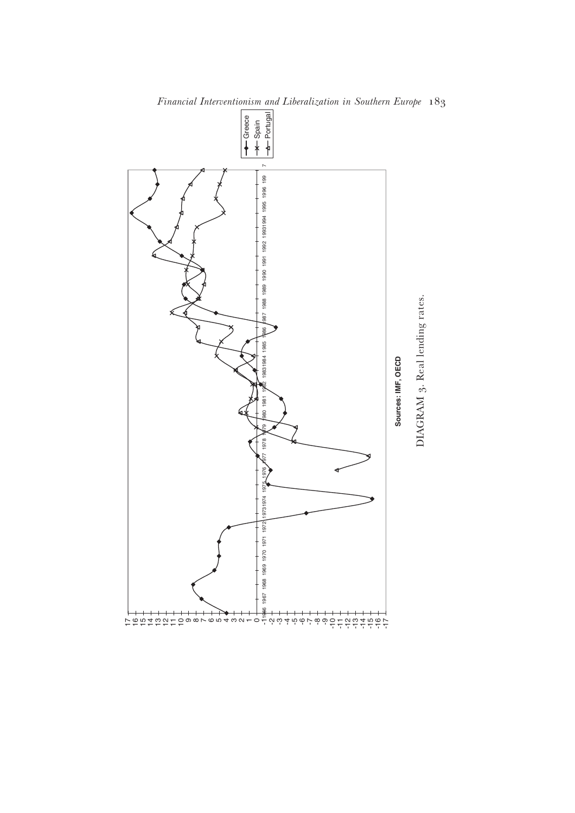

DIAGRAM

3. Real lending rates.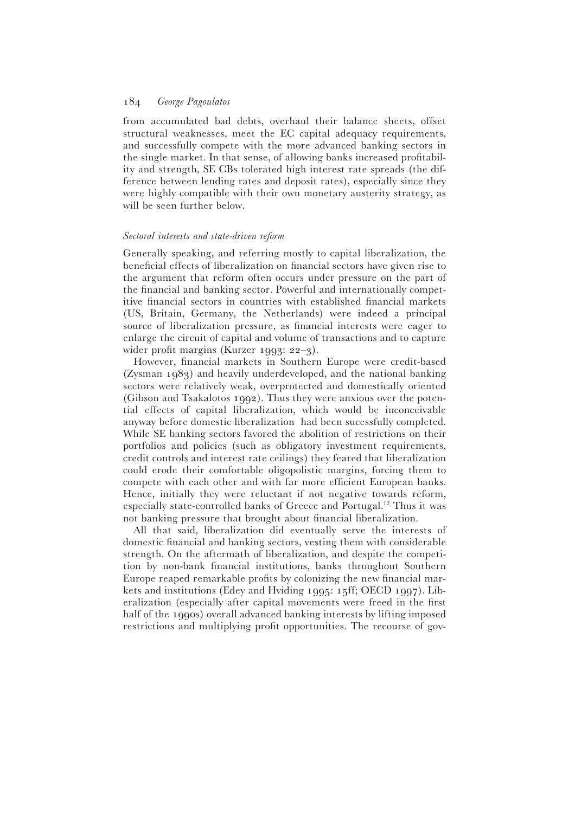from accumulated bad debts, overhaul their balance sheets, offset structural weaknesses, meet the EC capital adequacy requirements, and successfully compete with the more advanced banking sectors in the single market. In that sense, of allowing banks increased profitability and strength, SE CBs tolerated high interest rate spreads (the difference between lending rates and deposit rates), especially since they were highly compatible with their own monetary austerity strategy, as will be seen further below.

### *Sectoral interests and state-driven reform*

Generally speaking, and referring mostly to capital liberalization, the beneficial effects of liberalization on financial sectors have given rise to the argument that reform often occurs under pressure on the part of the financial and banking sector. Powerful and internationally competitive financial sectors in countries with established financial markets (US, Britain, Germany, the Netherlands) were indeed a principal source of liberalization pressure, as financial interests were eager to enlarge the circuit of capital and volume of transactions and to capture wider profit margins (Kurzer 1993: 22–3).

However, financial markets in Southern Europe were credit-based (Zysman 1983) and heavily underdeveloped, and the national banking sectors were relatively weak, overprotected and domestically oriented (Gibson and Tsakalotos 1992). Thus they were anxious over the potential effects of capital liberalization, which would be inconceivable anyway before domestic liberalization had been sucessfully completed. While SE banking sectors favored the abolition of restrictions on their portfolios and policies (such as obligatory investment requirements, credit controls and interest rate ceilings) they feared that liberalization could erode their comfortable oligopolistic margins, forcing them to compete with each other and with far more efficient European banks. Hence, initially they were reluctant if not negative towards reform, especially state-controlled banks of Greece and Portugal.12 Thus it was not banking pressure that brought about financial liberalization.

All that said, liberalization did eventually serve the interests of domestic financial and banking sectors, vesting them with considerable strength. On the aftermath of liberalization, and despite the competition by non-bank financial institutions, banks throughout Southern Europe reaped remarkable profits by colonizing the new financial markets and institutions (Edey and Hviding 1995: 15ff; OECD 1997). Liberalization (especially after capital movements were freed in the first half of the 1990s) overall advanced banking interests by lifting imposed restrictions and multiplying profit opportunities. The recourse of gov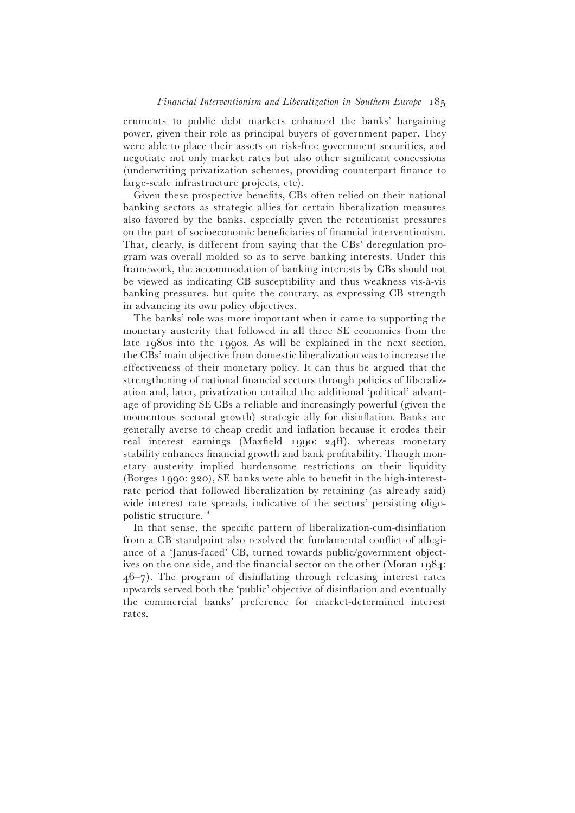ernments to public debt markets enhanced the banks' bargaining power, given their role as principal buyers of government paper. They were able to place their assets on risk-free government securities, and negotiate not only market rates but also other significant concessions (underwriting privatization schemes, providing counterpart finance to large-scale infrastructure projects, etc).

Given these prospective benefits, CBs often relied on their national banking sectors as strategic allies for certain liberalization measures also favored by the banks, especially given the retentionist pressures on the part of socioeconomic beneficiaries of financial interventionism. That, clearly, is different from saying that the CBs' deregulation program was overall molded so as to serve banking interests. Under this framework, the accommodation of banking interests by CBs should not be viewed as indicating CB susceptibility and thus weakness vis-à-vis banking pressures, but quite the contrary, as expressing CB strength in advancing its own policy objectives.

The banks' role was more important when it came to supporting the monetary austerity that followed in all three SE economies from the late 1980s into the 1990s. As will be explained in the next section, the CBs' main objective from domestic liberalization was to increase the effectiveness of their monetary policy. It can thus be argued that the strengthening of national financial sectors through policies of liberalization and, later, privatization entailed the additional 'political' advantage of providing SE CBs a reliable and increasingly powerful (given the momentous sectoral growth) strategic ally for disinflation. Banks are generally averse to cheap credit and inflation because it erodes their real interest earnings (Maxfield 1990: 24ff), whereas monetary stability enhances financial growth and bank profitability. Though monetary austerity implied burdensome restrictions on their liquidity (Borges 1990: 320), SE banks were able to benefit in the high-interestrate period that followed liberalization by retaining (as already said) wide interest rate spreads, indicative of the sectors' persisting oligopolistic structure.13

In that sense, the specific pattern of liberalization-cum-disinflation from a CB standpoint also resolved the fundamental conflict of allegiance of a 'Janus-faced' CB, turned towards public/government objectives on the one side, and the financial sector on the other (Moran 1984: 46–7). The program of disinflating through releasing interest rates upwards served both the 'public' objective of disinflation and eventually the commercial banks' preference for market-determined interest rates.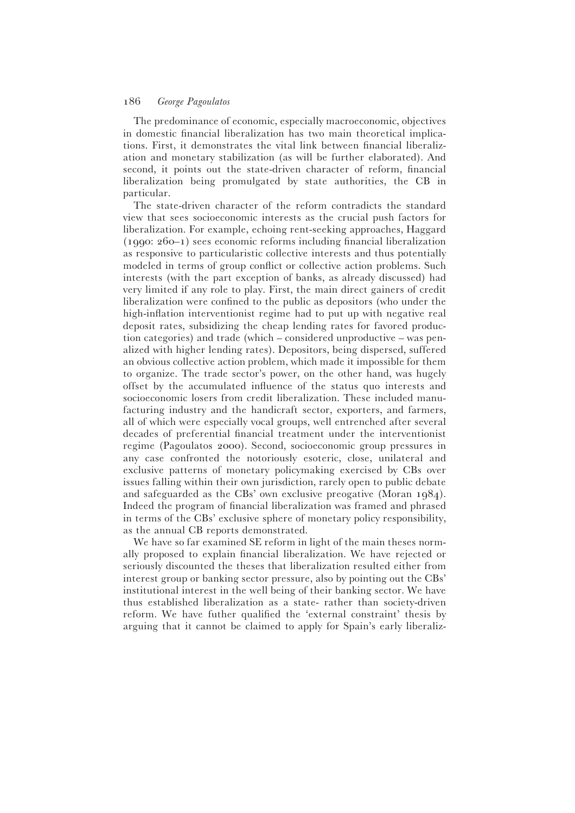The predominance of economic, especially macroeconomic, objectives in domestic financial liberalization has two main theoretical implications. First, it demonstrates the vital link between financial liberalization and monetary stabilization (as will be further elaborated). And second, it points out the state-driven character of reform, financial liberalization being promulgated by state authorities, the CB in particular.

The state-driven character of the reform contradicts the standard view that sees socioeconomic interests as the crucial push factors for liberalization. For example, echoing rent-seeking approaches, Haggard (1990: 260–1) sees economic reforms including financial liberalization as responsive to particularistic collective interests and thus potentially modeled in terms of group conflict or collective action problems. Such interests (with the part exception of banks, as already discussed) had very limited if any role to play. First, the main direct gainers of credit liberalization were confined to the public as depositors (who under the high-inflation interventionist regime had to put up with negative real deposit rates, subsidizing the cheap lending rates for favored production categories) and trade (which – considered unproductive – was penalized with higher lending rates). Depositors, being dispersed, suffered an obvious collective action problem, which made it impossible for them to organize. The trade sector's power, on the other hand, was hugely offset by the accumulated influence of the status quo interests and socioeconomic losers from credit liberalization. These included manufacturing industry and the handicraft sector, exporters, and farmers, all of which were especially vocal groups, well entrenched after several decades of preferential financial treatment under the interventionist regime (Pagoulatos 2000). Second, socioeconomic group pressures in any case confronted the notoriously esoteric, close, unilateral and exclusive patterns of monetary policymaking exercised by CBs over issues falling within their own jurisdiction, rarely open to public debate and safeguarded as the CBs' own exclusive preogative (Moran 1984). Indeed the program of financial liberalization was framed and phrased in terms of the CBs' exclusive sphere of monetary policy responsibility, as the annual CB reports demonstrated.

We have so far examined SE reform in light of the main theses normally proposed to explain financial liberalization. We have rejected or seriously discounted the theses that liberalization resulted either from interest group or banking sector pressure, also by pointing out the CBs' institutional interest in the well being of their banking sector. We have thus established liberalization as a state- rather than society-driven reform. We have futher qualified the 'external constraint' thesis by arguing that it cannot be claimed to apply for Spain's early liberaliz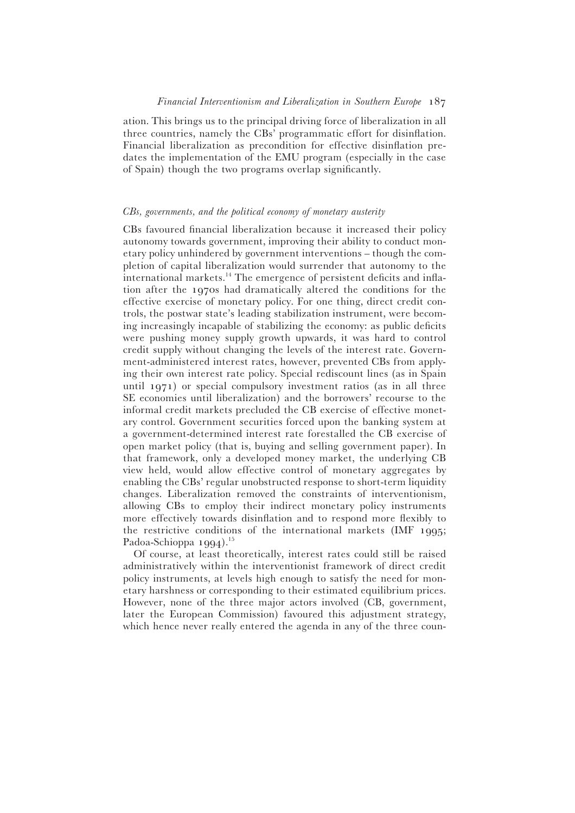ation. This brings us to the principal driving force of liberalization in all three countries, namely the CBs' programmatic effort for disinflation. Financial liberalization as precondition for effective disinflation predates the implementation of the EMU program (especially in the case of Spain) though the two programs overlap significantly.

### *CBs, governments, and the political economy of monetary austerity*

CBs favoured financial liberalization because it increased their policy autonomy towards government, improving their ability to conduct monetary policy unhindered by government interventions – though the completion of capital liberalization would surrender that autonomy to the international markets.14 The emergence of persistent deficits and inflation after the 1970s had dramatically altered the conditions for the effective exercise of monetary policy. For one thing, direct credit controls, the postwar state's leading stabilization instrument, were becoming increasingly incapable of stabilizing the economy: as public deficits were pushing money supply growth upwards, it was hard to control credit supply without changing the levels of the interest rate. Government-administered interest rates, however, prevented CBs from applying their own interest rate policy. Special rediscount lines (as in Spain until 1971) or special compulsory investment ratios (as in all three SE economies until liberalization) and the borrowers' recourse to the informal credit markets precluded the CB exercise of effective monetary control. Government securities forced upon the banking system at a government-determined interest rate forestalled the CB exercise of open market policy (that is, buying and selling government paper). In that framework, only a developed money market, the underlying CB view held, would allow effective control of monetary aggregates by enabling the CBs' regular unobstructed response to short-term liquidity changes. Liberalization removed the constraints of interventionism, allowing CBs to employ their indirect monetary policy instruments more effectively towards disinflation and to respond more flexibly to the restrictive conditions of the international markets (IMF 1995; Padoa-Schioppa  $1994$ .<sup>15</sup>

Of course, at least theoretically, interest rates could still be raised administratively within the interventionist framework of direct credit policy instruments, at levels high enough to satisfy the need for monetary harshness or corresponding to their estimated equilibrium prices. However, none of the three major actors involved (CB, government, later the European Commission) favoured this adjustment strategy, which hence never really entered the agenda in any of the three coun-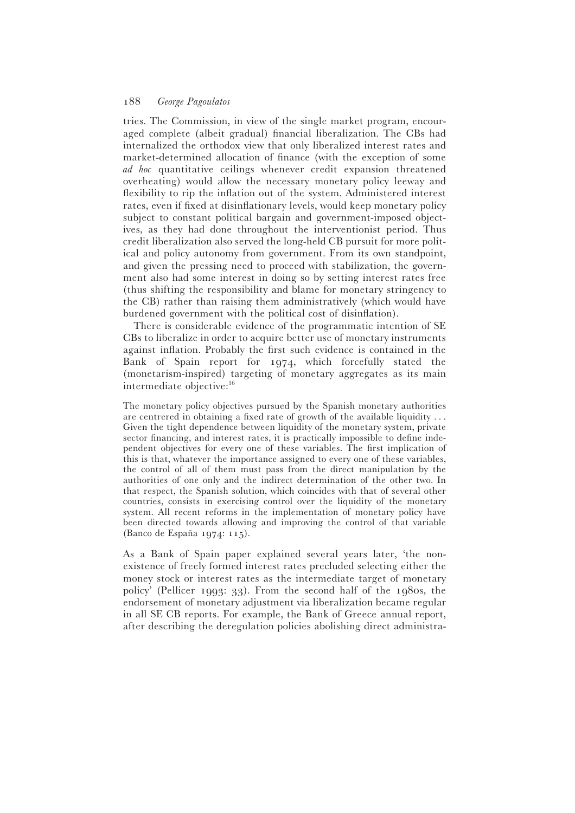tries. The Commission, in view of the single market program, encouraged complete (albeit gradual) financial liberalization. The CBs had internalized the orthodox view that only liberalized interest rates and market-determined allocation of finance (with the exception of some *ad hoc* quantitative ceilings whenever credit expansion threatened overheating) would allow the necessary monetary policy leeway and flexibility to rip the inflation out of the system. Administered interest rates, even if fixed at disinflationary levels, would keep monetary policy subject to constant political bargain and government-imposed objectives, as they had done throughout the interventionist period. Thus credit liberalization also served the long-held CB pursuit for more political and policy autonomy from government. From its own standpoint, and given the pressing need to proceed with stabilization, the government also had some interest in doing so by setting interest rates free (thus shifting the responsibility and blame for monetary stringency to the CB) rather than raising them administratively (which would have burdened government with the political cost of disinflation).

There is considerable evidence of the programmatic intention of SE CBs to liberalize in order to acquire better use of monetary instruments against inflation. Probably the first such evidence is contained in the Bank of Spain report for 1974, which forcefully stated the (monetarism-inspired) targeting of monetary aggregates as its main intermediate objective:16

The monetary policy objectives pursued by the Spanish monetary authorities are centrered in obtaining a fixed rate of growth of the available liquidity . . . Given the tight dependence between liquidity of the monetary system, private sector financing, and interest rates, it is practically impossible to define independent objectives for every one of these variables. The first implication of this is that, whatever the importance assigned to every one of these variables, the control of all of them must pass from the direct manipulation by the authorities of one only and the indirect determination of the other two. In that respect, the Spanish solution, which coincides with that of several other countries, consists in exercising control over the liquidity of the monetary system. All recent reforms in the implementation of monetary policy have been directed towards allowing and improving the control of that variable (Banco de España 1974: 115).

As a Bank of Spain paper explained several years later, 'the nonexistence of freely formed interest rates precluded selecting either the money stock or interest rates as the intermediate target of monetary policy' (Pellicer 1993: 33). From the second half of the 1980s, the endorsement of monetary adjustment via liberalization became regular in all SE CB reports. For example, the Bank of Greece annual report, after describing the deregulation policies abolishing direct administra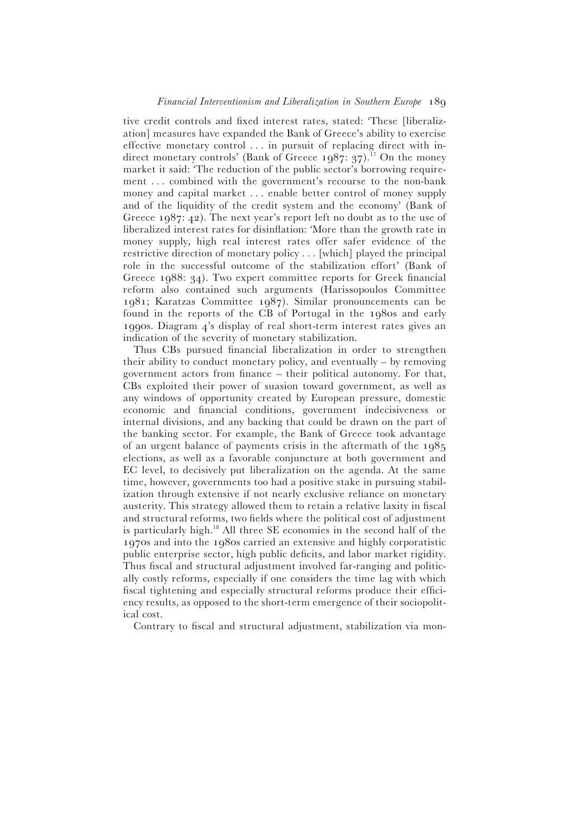tive credit controls and fixed interest rates, stated: 'These [liberalization] measures have expanded the Bank of Greece's ability to exercise effective monetary control . . . in pursuit of replacing direct with indirect monetary controls' (Bank of Greece 1987: 37).<sup>17</sup> On the money market it said: 'The reduction of the public sector's borrowing requirement . . . combined with the government's recourse to the non-bank money and capital market . . . enable better control of money supply and of the liquidity of the credit system and the economy' (Bank of Greece 1987: 42). The next year's report left no doubt as to the use of liberalized interest rates for disinflation: 'More than the growth rate in money supply, high real interest rates offer safer evidence of the restrictive direction of monetary policy . . . [which] played the principal role in the successful outcome of the stabilization effort' (Bank of Greece 1988: 34). Two expert committee reports for Greek financial reform also contained such arguments (Harissopoulos Committee 1981; Karatzas Committee 1987). Similar pronouncements can be found in the reports of the CB of Portugal in the 1980s and early 1990s. Diagram 4's display of real short-term interest rates gives an indication of the severity of monetary stabilization.

Thus CBs pursued financial liberalization in order to strengthen their ability to conduct monetary policy, and eventually – by removing government actors from finance – their political autonomy. For that, CBs exploited their power of suasion toward government, as well as any windows of opportunity created by European pressure, domestic economic and financial conditions, government indecisiveness or internal divisions, and any backing that could be drawn on the part of the banking sector. For example, the Bank of Greece took advantage of an urgent balance of payments crisis in the aftermath of the 1985 elections, as well as a favorable conjuncture at both government and EC level, to decisively put liberalization on the agenda. At the same time, however, governments too had a positive stake in pursuing stabilization through extensive if not nearly exclusive reliance on monetary austerity. This strategy allowed them to retain a relative laxity in fiscal and structural reforms, two fields where the political cost of adjustment is particularly high.18 All three SE economies in the second half of the 1970s and into the 1980s carried an extensive and highly corporatistic public enterprise sector, high public deficits, and labor market rigidity. Thus fiscal and structural adjustment involved far-ranging and politically costly reforms, especially if one considers the time lag with which fiscal tightening and especially structural reforms produce their efficiency results, as opposed to the short-term emergence of their sociopolitical cost.

Contrary to fiscal and structural adjustment, stabilization via mon-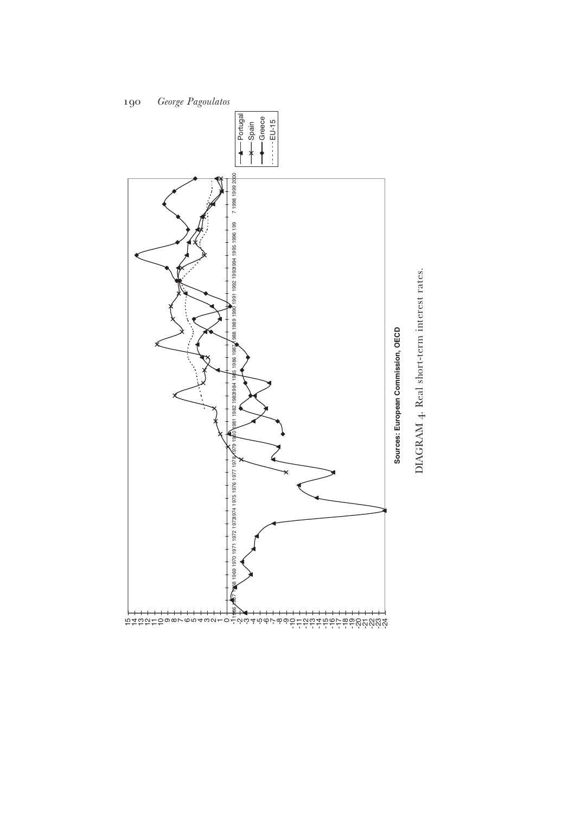

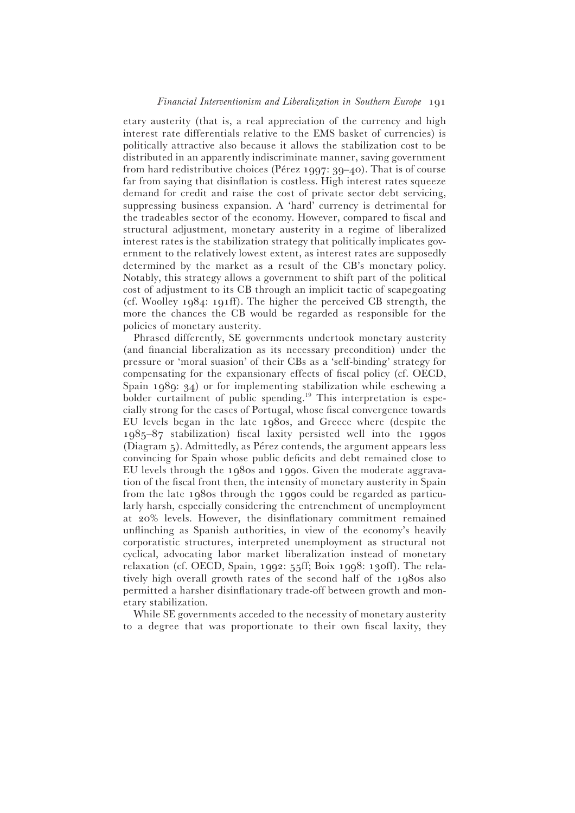etary austerity (that is, a real appreciation of the currency and high interest rate differentials relative to the EMS basket of currencies) is politically attractive also because it allows the stabilization cost to be distributed in an apparently indiscriminate manner, saving government from hard redistributive choices (Pérez 1997:  $39-40$ ). That is of course far from saying that disinflation is costless. High interest rates squeeze demand for credit and raise the cost of private sector debt servicing, suppressing business expansion. A 'hard' currency is detrimental for the tradeables sector of the economy. However, compared to fiscal and structural adjustment, monetary austerity in a regime of liberalized interest rates is the stabilization strategy that politically implicates government to the relatively lowest extent, as interest rates are supposedly determined by the market as a result of the CB's monetary policy. Notably, this strategy allows a government to shift part of the political cost of adjustment to its CB through an implicit tactic of scapegoating (cf. Woolley 1984: 191ff). The higher the perceived CB strength, the more the chances the CB would be regarded as responsible for the policies of monetary austerity.

Phrased differently, SE governments undertook monetary austerity (and financial liberalization as its necessary precondition) under the pressure or 'moral suasion' of their CBs as a 'self-binding' strategy for compensating for the expansionary effects of fiscal policy (cf. OECD, Spain 1989: 34) or for implementing stabilization while eschewing a bolder curtailment of public spending.<sup>19</sup> This interpretation is especially strong for the cases of Portugal, whose fiscal convergence towards EU levels began in the late 1980s, and Greece where (despite the 1985–87 stabilization) fiscal laxity persisted well into the 1990s  $(Diagram 5)$ . Admittedly, as Pérez contends, the argument appears less convincing for Spain whose public deficits and debt remained close to EU levels through the 1980s and 1990s. Given the moderate aggravation of the fiscal front then, the intensity of monetary austerity in Spain from the late 1980s through the 1990s could be regarded as particularly harsh, especially considering the entrenchment of unemployment at 20% levels. However, the disinflationary commitment remained unflinching as Spanish authorities, in view of the economy's heavily corporatistic structures, interpreted unemployment as structural not cyclical, advocating labor market liberalization instead of monetary relaxation (cf. OECD, Spain, 1992: 55ff; Boix 1998: 130ff). The relatively high overall growth rates of the second half of the 1980s also permitted a harsher disinflationary trade-off between growth and monetary stabilization.

While SE governments acceded to the necessity of monetary austerity to a degree that was proportionate to their own fiscal laxity, they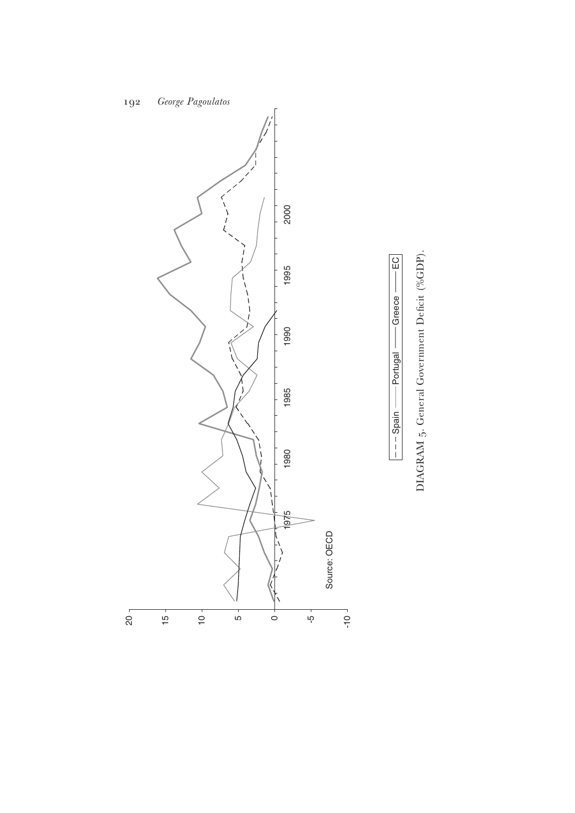![](_page_21_Figure_1.jpeg)

DIAGRAM 5. General Government Deficit (%GDP). DIAGRAM 5. General Government Deficit (%GDP).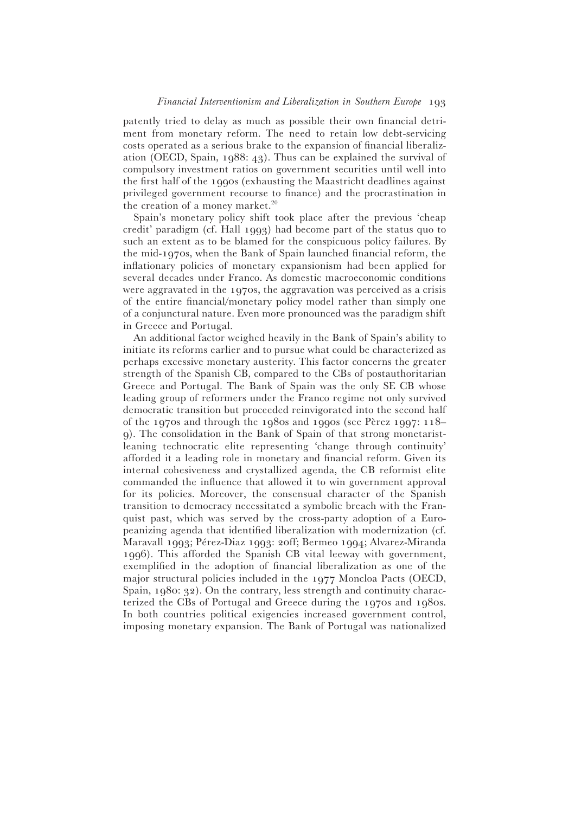patently tried to delay as much as possible their own financial detriment from monetary reform. The need to retain low debt-servicing costs operated as a serious brake to the expansion of financial liberalization (OECD, Spain, 1988: 43). Thus can be explained the survival of compulsory investment ratios on government securities until well into the first half of the 1990s (exhausting the Maastricht deadlines against privileged government recourse to finance) and the procrastination in the creation of a money market.<sup>20</sup>

Spain's monetary policy shift took place after the previous 'cheap credit' paradigm (cf. Hall 1993) had become part of the status quo to such an extent as to be blamed for the conspicuous policy failures. By the mid-1970s, when the Bank of Spain launched financial reform, the inflationary policies of monetary expansionism had been applied for several decades under Franco. As domestic macroeconomic conditions were aggravated in the 1970s, the aggravation was perceived as a crisis of the entire financial/monetary policy model rather than simply one of a conjunctural nature. Even more pronounced was the paradigm shift in Greece and Portugal.

An additional factor weighed heavily in the Bank of Spain's ability to initiate its reforms earlier and to pursue what could be characterized as perhaps excessive monetary austerity. This factor concerns the greater strength of the Spanish CB, compared to the CBs of postauthoritarian Greece and Portugal. The Bank of Spain was the only SE CB whose leading group of reformers under the Franco regime not only survived democratic transition but proceeded reinvigorated into the second half of the 1970s and through the 1980s and 1990s (see Perez 1997:  $118-$ 9). The consolidation in the Bank of Spain of that strong monetaristleaning technocratic elite representing 'change through continuity' afforded it a leading role in monetary and financial reform. Given its internal cohesiveness and crystallized agenda, the CB reformist elite commanded the influence that allowed it to win government approval for its policies. Moreover, the consensual character of the Spanish transition to democracy necessitated a symbolic breach with the Franquist past, which was served by the cross-party adoption of a Europeanizing agenda that identified liberalization with modernization (cf. Maravall 1993; Pérez-Diaz 1993: 20ff; Bermeo 1994; Alvarez-Miranda 1996). This afforded the Spanish CB vital leeway with government, exemplified in the adoption of financial liberalization as one of the major structural policies included in the 1977 Moncloa Pacts (OECD, Spain, 1980: 32). On the contrary, less strength and continuity characterized the CBs of Portugal and Greece during the 1970s and 1980s. In both countries political exigencies increased government control, imposing monetary expansion. The Bank of Portugal was nationalized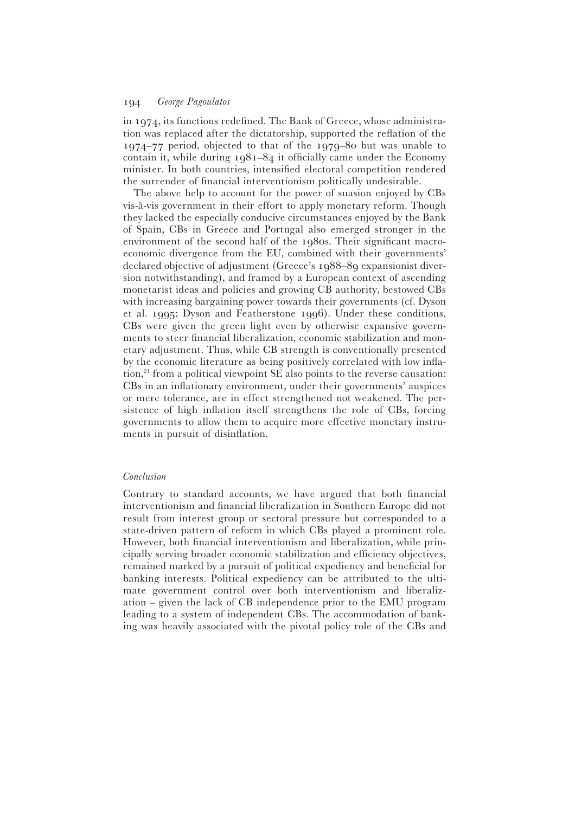in 1974, its functions redefined. The Bank of Greece, whose administration was replaced after the dictatorship, supported the reflation of the 1974–77 period, objected to that of the 1979–80 but was unable to contain it, while during 1981–84 it officially came under the Economy minister. In both countries, intensified electoral competition rendered the surrender of financial interventionism politically undesirable.

The above help to account for the power of suasion enjoyed by CBs vis-a`-vis government in their effort to apply monetary reform. Though they lacked the especially conducive circumstances enjoyed by the Bank of Spain, CBs in Greece and Portugal also emerged stronger in the environment of the second half of the 1980s. Their significant macroeconomic divergence from the EU, combined with their governments' declared objective of adjustment (Greece's 1988–89 expansionist diversion notwithstanding), and framed by a European context of ascending monetarist ideas and policies and growing CB authority, bestowed CBs with increasing bargaining power towards their governments (cf. Dyson et al. 1995; Dyson and Featherstone 1996). Under these conditions, CBs were given the green light even by otherwise expansive governments to steer financial liberalization, economic stabilization and monetary adjustment. Thus, while CB strength is conventionally presented by the economic literature as being positively correlated with low inflation,<sup>21</sup> from a political viewpoint SE also points to the reverse causation: CBs in an inflationary environment, under their governments' auspices or mere tolerance, are in effect strengthened not weakened. The persistence of high inflation itself strengthens the role of CBs, forcing governments to allow them to acquire more effective monetary instruments in pursuit of disinflation.

### *Conclusion*

Contrary to standard accounts, we have argued that both financial interventionism and financial liberalization in Southern Europe did not result from interest group or sectoral pressure but corresponded to a state-driven pattern of reform in which CBs played a prominent role. However, both financial interventionism and liberalization, while principally serving broader economic stabilization and efficiency objectives, remained marked by a pursuit of political expediency and beneficial for banking interests. Political expediency can be attributed to the ultimate government control over both interventionism and liberalization – given the lack of CB independence prior to the EMU program leading to a system of independent CBs. The accommodation of banking was heavily associated with the pivotal policy role of the CBs and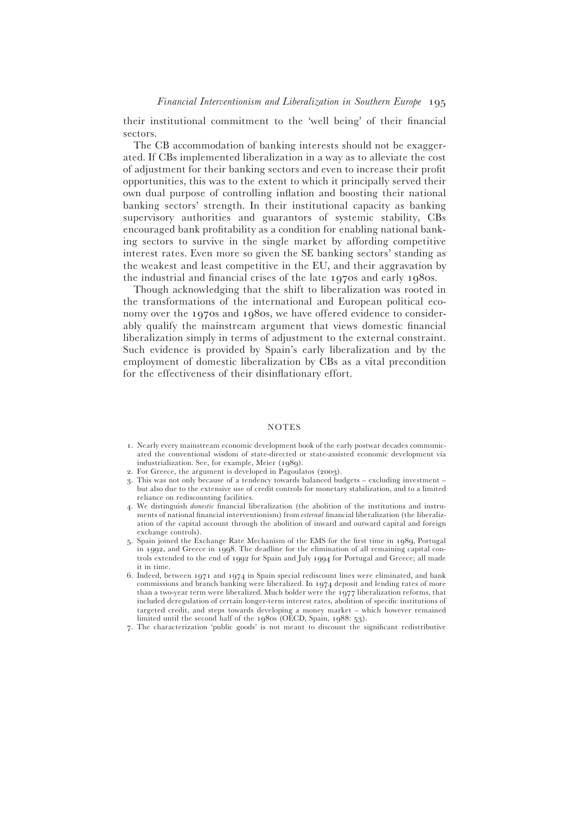their institutional commitment to the 'well being' of their financial sectors.

The CB accommodation of banking interests should not be exaggerated. If CBs implemented liberalization in a way as to alleviate the cost of adjustment for their banking sectors and even to increase their profit opportunities, this was to the extent to which it principally served their own dual purpose of controlling inflation and boosting their national banking sectors' strength. In their institutional capacity as banking supervisory authorities and guarantors of systemic stability, CBs encouraged bank profitability as a condition for enabling national banking sectors to survive in the single market by affording competitive interest rates. Even more so given the SE banking sectors' standing as the weakest and least competitive in the EU, and their aggravation by the industrial and financial crises of the late 1970s and early 1980s.

Though acknowledging that the shift to liberalization was rooted in the transformations of the international and European political economy over the 1970s and 1980s, we have offered evidence to considerably qualify the mainstream argument that views domestic financial liberalization simply in terms of adjustment to the external constraint. Such evidence is provided by Spain's early liberalization and by the employment of domestic liberalization by CBs as a vital precondition for the effectiveness of their disinflationary effort.

#### **NOTES**

- 1. Nearly every mainstream economic development book of the early postwar decades communicated the conventional wisdom of state-directed or state-assisted economic development via industrialization. See, for example, Meier (1989).
- 2. For Greece, the argument is developed in Pagoulatos (2003).
- 3. This was not only because of a tendency towards balanced budgets excluding investment but also due to the extensive use of credit controls for monetary stabilization, and to a limited reliance on rediscounting facilities.
- 4. We distinguish *domestic* financial liberalization (the abolition of the institutions and instruments of national financial interventionism) from *external* financial liberalization (the liberalization of the capital account through the abolition of inward and outward capital and foreign exchange controls).
- 5. Spain joined the Exchange Rate Mechanism of the EMS for the first time in 1989, Portugal in 1992, and Greece in 1998. The deadline for the elimination of all remaining capital controls extended to the end of 1992 for Spain and July 1994 for Portugal and Greece; all made it in time.
- 6. Indeed, between 1971 and 1974 in Spain special rediscount lines were eliminated, and bank commissions and branch banking were liberalized. In 1974 deposit and lending rates of more than a two-year term were liberalized. Much bolder were the 1977 liberalization reforms, that included deregulation of certain longer-term interest rates, abolition of specific institutions of targeted credit, and steps towards developing a money market – which however remained limited until the second half of the 1980s (OECD, Spain, 1988: 53).
- 7. The characterization 'public goods' is not meant to discount the significant redistributive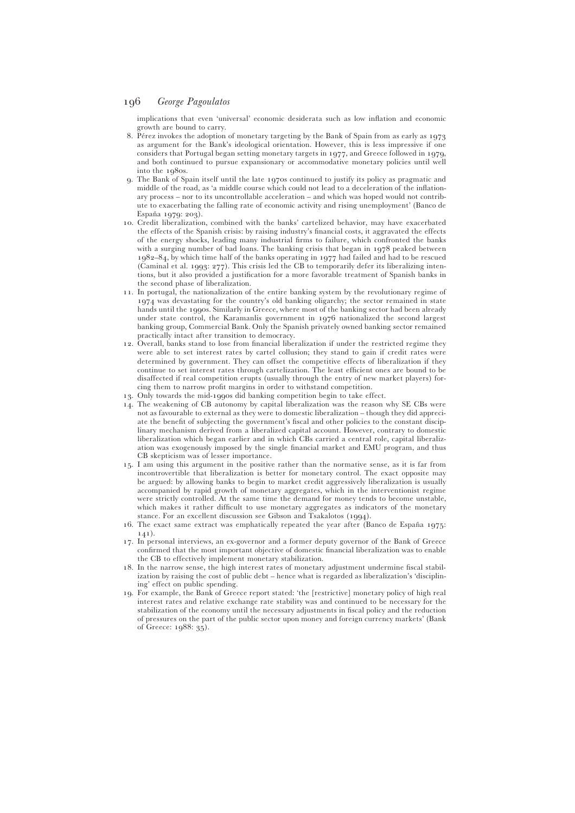implications that even 'universal' economic desiderata such as low inflation and economic growth are bound to carry.

- 8. Pérez invokes the adoption of monetary targeting by the Bank of Spain from as early as  $1973$ as argument for the Bank's ideological orientation. However, this is less impressive if one considers that Portugal began setting monetary targets in 1977, and Greece followed in 1979, and both continued to pursue expansionary or accommodative monetary policies until well into the 1980s.
- 9. The Bank of Spain itself until the late 1970s continued to justify its policy as pragmatic and middle of the road, as 'a middle course which could not lead to a deceleration of the inflationary process – nor to its uncontrollable acceleration – and which was hoped would not contribute to exacerbating the falling rate of economic activity and rising unemployment' (Banco de España 1979: 203).
- 10. Credit liberalization, combined with the banks' cartelized behavior, may have exacerbated the effects of the Spanish crisis: by raising industry's financial costs, it aggravated the effects of the energy shocks, leading many industrial firms to failure, which confronted the banks with a surging number of bad loans. The banking crisis that began in 1978 peaked between 1982–84, by which time half of the banks operating in 1977 had failed and had to be rescued (Caminal et al. 1993: 277). This crisis led the CB to temporarily defer its liberalizing intentions, but it also provided a justification for a more favorable treatment of Spanish banks in the second phase of liberalization.
- 11. In portugal, the nationalization of the entire banking system by the revolutionary regime of 1974 was devastating for the country's old banking oligarchy; the sector remained in state hands until the 1990s. Similarly in Greece, where most of the banking sector had been already under state control, the Karamanlis government in 1976 nationalized the second largest banking group, Commercial Bank. Only the Spanish privately owned banking sector remained practically intact after transition to democracy.
- 12. Overall, banks stand to lose from financial liberalization if under the restricted regime they were able to set interest rates by cartel collusion; they stand to gain if credit rates were determined by government. They can offset the competitive effects of liberalization if they continue to set interest rates through cartelization. The least efficient ones are bound to be disaffected if real competition erupts (usually through the entry of new market players) forcing them to narrow profit margins in order to withstand competition.
- 13. Only towards the mid-1990s did banking competition begin to take effect.
- 14. The weakening of CB autonomy by capital liberalization was the reason why SE CBs were not as favourable to external as they were to domestic liberalization – though they did appreciate the benefit of subjecting the government's fiscal and other policies to the constant disciplinary mechanism derived from a liberalized capital account. However, contrary to domestic liberalization which began earlier and in which CBs carried a central role, capital liberalization was exogenously imposed by the single financial market and EMU program, and thus CB skepticism was of lesser importance.
- 15. I am using this argument in the positive rather than the normative sense, as it is far from incontrovertible that liberalization is better for monetary control. The exact opposite may be argued: by allowing banks to begin to market credit aggressively liberalization is usually accompanied by rapid growth of monetary aggregates, which in the interventionist regime were strictly controlled. At the same time the demand for money tends to become unstable, which makes it rather difficult to use monetary aggregates as indicators of the monetary stance. For an excellent discussion see Gibson and Tsakalotos (1994).
- 16. The exact same extract was emphatically repeated the year after (Banco de España 1975: 141).
- 17. In personal interviews, an ex-governor and a former deputy governor of the Bank of Greece confirmed that the most important objective of domestic financial liberalization was to enable the CB to effectively implement monetary stabilization.
- 18. In the narrow sense, the high interest rates of monetary adjustment undermine fiscal stabilization by raising the cost of public debt – hence what is regarded as liberalization's 'disciplining' effect on public spending.
- 19. For example, the Bank of Greece report stated: 'the [restrictive] monetary policy of high real interest rates and relative exchange rate stability was and continued to be necessary for the stabilization of the economy until the necessary adjustments in fiscal policy and the reduction of pressures on the part of the public sector upon money and foreign currency markets' (Bank of Greece: 1988: 35).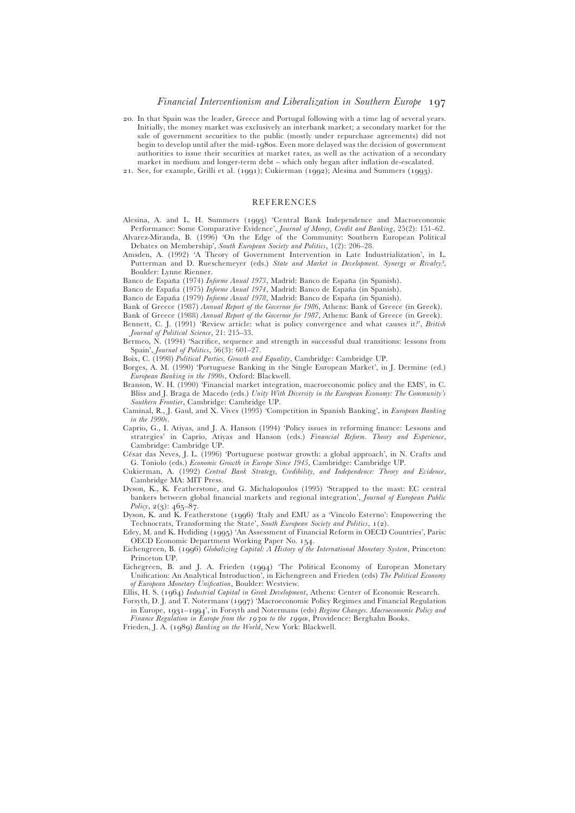- 20. In that Spain was the leader, Greece and Portugal following with a time lag of several years. Initially, the money market was exclusively an interbank market; a secondary market for the sale of government securities to the public (mostly under repurchase agreements) did not begin to develop until after the mid-1980s. Even more delayed was the decision of government authorities to issue their securities at market rates, as well as the activation of a secondary market in medium and longer-term debt – which only began after inflation de-escalated.
- 21. See, for example, Grilli et al. (1991); Cukierman (1992); Alesina and Summers (1993).

#### REFERENCES

Alesina, A. and L. H. Summers (1993) 'Central Bank Independence and Macroeconomic Performance: Some Comparative Evidence', *Journal of Money, Credit and Banking*, 25(2): 151–62. Alvarez-Miranda, B. (1996) 'On the Edge of the Community: Southern European Political

Debates on Membership', *South European Society and Politics*, 1(2): 206–28.

- Amsden, A. (1992) 'A Theory of Government Intervention in Late Industrialization', in L. Putterman and D. Rueschemeyer (eds.) *State and Market in Development. Synergy or Rivalry?*, Boulder: Lynne Rienner.
- Banco de España (1974) *Informe Anual 1973*, Madrid: Banco de España (in Spanish).
- Banco de España (1975) *Informe Anual 1974*, Madrid: Banco de España (in Spanish).
- Banco de España (1979) *Informe Anual 1978*, Madrid: Banco de España (in Spanish).
- Bank of Greece (1987) *Annual Report of the Governor for 1986*, Athens: Bank of Greece (in Greek).
- Bank of Greece (1988) *Annual Report of the Governor for 1987*, Athens: Bank of Greece (in Greek).
- Bennett, C. J. (1991) 'Review article: what is policy convergence and what causes it?', *British Journal of Political Science*, 21: 215–33.
- Bermeo, N. (1994) 'Sacrifice, sequence and strength in successful dual transitions: lessons from Spain', *Journal of Politics*, 56(3): 601–27.
- Boix, C. (1998) *Political Parties, Growth and Equality*, Cambridge: Cambridge UP.
- Borges, A. M. (1990) 'Portuguese Banking in the Single European Market', in J. Dermine (ed.) *European Banking in the 1990s*, Oxford: Blackwell.
- Branson, W. H. (1990) 'Financial market integration, macroeconomic policy and the EMS', in C. Bliss and J. Braga de Macedo (eds.) *Unity With Diversity in the European Economy: The Community's Southern Frontier*, Cambridge: Cambridge UP.
- Caminal, R., J. Gaul, and X. Vives (1993) 'Competition in Spanish Banking', in *European Banking in the 1990s*.
- Caprio, G., I. Atiyas, and J. A. Hanson (1994) 'Policy issues in reforming finance: Lessons and strategies' in Caprio, Atiyas and Hanson (eds.) *Financial Reform. Theory and Experience*, Cambridge: Cambridge UP.
- César das Neves, J. L. (1996) 'Portuguese postwar growth: a global approach', in N. Crafts and G. Toniolo (eds.) *Economic Growth in Europe Since 1945*, Cambridge: Cambridge UP.
- Cukierman, A. (1992) *Central Bank Strategy, Credibility, and Independence: Theory and Evidence*, Cambridge MA: MIT Press.
- Dyson, K., K. Featherstone, and G. Michalopoulos (1995) 'Strapped to the mast: EC central bankers between global financial markets and regional integration', *Journal of European Public Policy*, 2(3): 465-87.
- Dyson, K. and K. Featherstone (1996) 'Italy and EMU as a 'Vincolo Esterno': Empowering the Technocrats, Transforming the State', *South European Society and Politics*, 1(2).
- Edey, M. and K. Hvdiding (1995) 'An Assessment of Financial Reform in OECD Countries', Paris: OECD Economic Department Working Paper No. 154.
- Eichengreen, B. (1996) *Globalizing Capital: A History of the International Monetary System*, Princeton: Princeton UP.
- Eichegreen, B. and J. A. Frieden (1994) 'The Political Economy of European Monetary Unification: An Analytical Introduction', in Eichengreen and Frieden (eds) *The Political Economy of European Monetary Unification*, Boulder: Westview.
- Ellis, H. S. (1964) *Industrial Capital in Greek Development*, Athens: Center of Economic Research.
- Forsyth, D. J. and T. Notermans (1997) 'Macroeconomic Policy Regimes and Financial Regulation in Europe, 1931–1994', in Forsyth and Notermans (eds) *Regime Changes. Macroeconomic Policy and Finance Regulation in Europe from the 1930s to the 1990s*, Providence: Berghahn Books.

Frieden, J. A. (1989) *Banking on the World*, New York: Blackwell.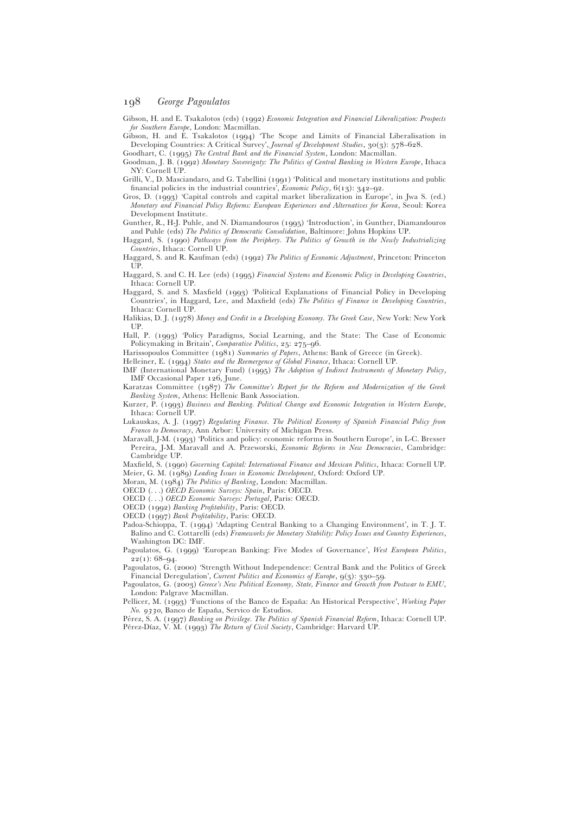Gibson, H. and E. Tsakalotos (eds) (1992) *Economic Integration and Financial Liberalization: Prospects for Southern Europe*, London: Macmillan.

Gibson, H. and E. Tsakalotos (1994) 'The Scope and Limits of Financial Liberalisation in Developing Countries: A Critical Survey', *Journal of Development Studies*, 30(3): 578–628.

Goodhart, C. (1995) *The Central Bank and the Financial System*, London: Macmillan.

Goodman, J. B. (1992) *Monetary Sovereignty: The Politics of Central Banking in Western Europe*, Ithaca NY: Cornell UP.

Grilli, V., D. Masciandaro, and G. Tabellini (1991) 'Political and monetary institutions and public financial policies in the industrial countries', *Economic Policy*, 6(13): 342–92.

Gros, D. (1993) 'Capital controls and capital market liberalization in Europe', in Jwa S. (ed.) *Monetary and Financial Policy Reforms: European Experiences and Alternatives for Korea*, Seoul: Korea Development Institute.

Gunther, R., H-J. Puhle, and N. Diamandouros (1995) 'Introduction', in Gunther, Diamandouros and Puhle (eds) *The Politics of Democratic Consolidation*, Baltimore: Johns Hopkins UP.

Haggard, S. (1990) *Pathways from the Periphery. The Politics of Growth in the Newly Industrializing Countries*, Ithaca: Cornell UP.

Haggard, S. and R. Kaufman (eds) (1992) *The Politics of Economic Adjustment*, Princeton: Princeton UP.

Haggard, S. and C. H. Lee (eds) (1995) *Financial Systems and Economic Policy in Developing Countries*, Ithaca: Cornell UP.

Haggard, S. and S. Maxfield (1993) 'Political Explanations of Financial Policy in Developing Countries', in Haggard, Lee, and Maxfield (eds) *The Politics of Finance in Developing Countries*, Ithaca: Cornell UP.

Halikias, D. J. (1978) *Money and Credit in a Developing Economy. The Greek Case*, New York: New York UP.

Hall, P. (1993) 'Policy Paradigms, Social Learning, and the State: The Case of Economic Policymaking in Britain', *Comparative Politics*, 25: 275–96.

Harissopoulos Committee (1981) *Summaries of Papers*, Athens: Bank of Greece (in Greek).

Helleiner, E. (1994) *States and the Reemergence of Global Finance*, Ithaca: Cornell UP.

IMF (International Monetary Fund) (1995) *The Adoption of Indirect Instruments of Monetary Policy*, IMF Occasional Paper 126, June.

Karatzas Committee (1987) *The Committee's Report for the Reform and Modernization of the Greek Banking System*, Athens: Hellenic Bank Association.

Kurzer, P. (1993) *Business and Banking. Political Change and Economic Integration in Western Europe*, Ithaca: Cornell UP.

Lukauskas, A. J. (1997) *Regulating Finance. The Political Economy of Spanish Financial Policy from Franco to Democracy*, Ann Arbor: University of Michigan Press.

Maravall, J-M. (1993) 'Politics and policy: economic reforms in Southern Europe', in L-C. Bresser Pereira, J-M. Maravall and A. Przeworski, *Economic Reforms in New Democracies*, Cambridge: Cambridge UP.

Maxfield, S. (1990) *Governing Capital: International Finance and Mexican Politics*, Ithaca: Cornell UP. Meier, G. M. (1989) *Leading Issues in Economic Development*, Oxford: Oxford UP.

Moran, M. (1984) *The Politics of Banking*, London: Macmillan.

OECD (. . .) *OECD Economic Surveys: Spain*, Paris: OECD.

OECD (. . .) *OECD Economic Surveys: Portugal*, Paris: OECD.

OECD (1992) *Banking Profitability*, Paris: OECD.

OECD (1997) *Bank Profitability*, Paris: OECD.

Padoa-Schioppa, T. (1994) 'Adapting Central Banking to a Changing Environment', in T. J. T. Balino and C. Cottarelli (eds) *Frameworks for Monetary Stability: Policy Issues and Country Experiences*, Washington DC: IMF.

Pagoulatos, G. (1999) 'European Banking: Five Modes of Governance', *West European Politics*,  $22(1): 68-94.$ 

Pagoulatos, G. (2000) 'Strength Without Independence: Central Bank and the Politics of Greek Financial Deregulation', *Current Politics and Economics of Europe*, 9(3): 330–59.

Pagoulatos, G. (2003) *Greece's New Political Economy, State, Finance and Growth from Postwar to EMU*, London: Palgrave Macmillan.

Pellicer, M. (1993) 'Functions of the Banco de España: An Historical Perspective', *Working Paper No.* 9330, Banco de España, Servico de Estudios.

Pérez, S. A. (1997) *Banking on Privilege. The Politics of Spanish Financial Reform*, Ithaca: Cornell UP. Pérez-Díaz, V. M. (1993) The Return of Civil Society, Cambridge: Harvard UP.